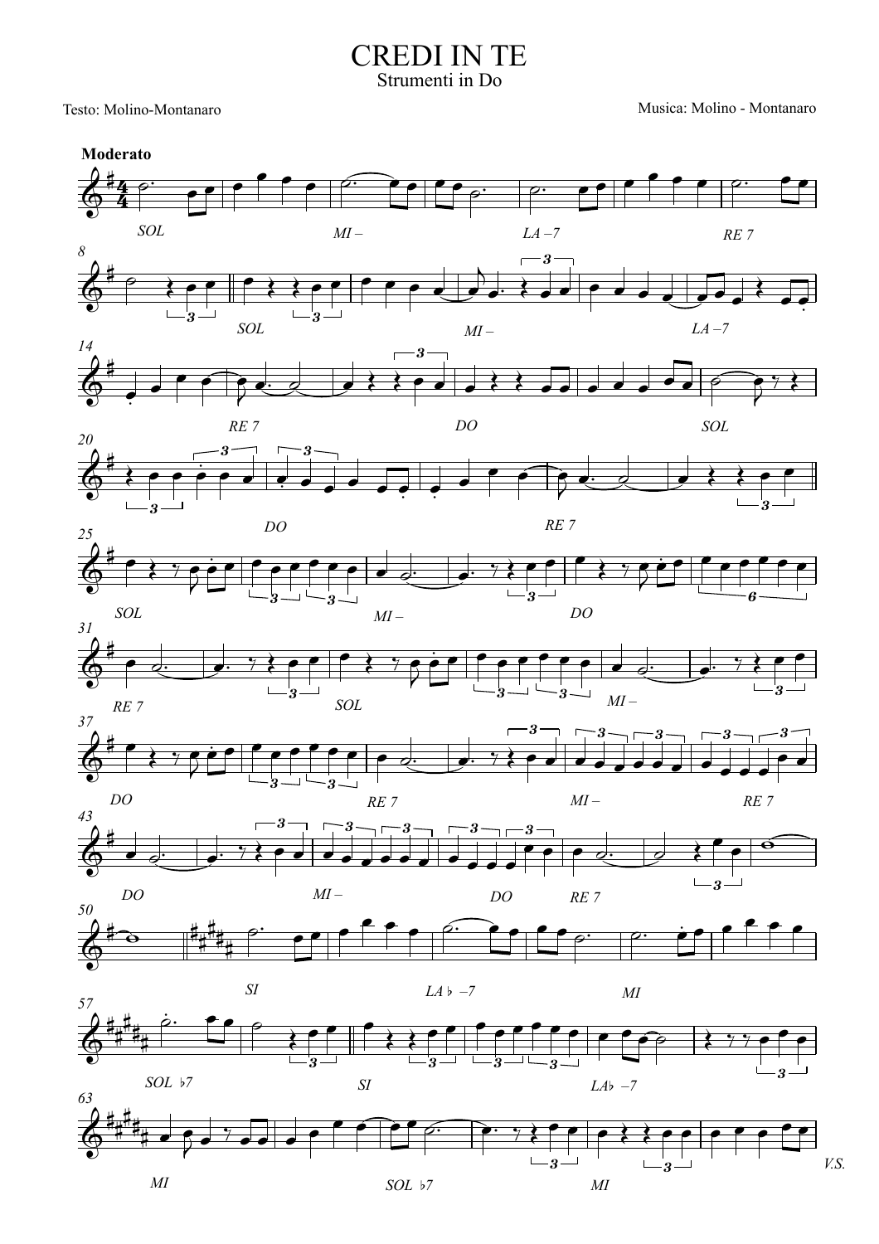**CREDI IN TE** Strumenti in Do

Testo: Molino-Montanaro

 $\cal M\!I$ 

Musica: Molino - Montanaro